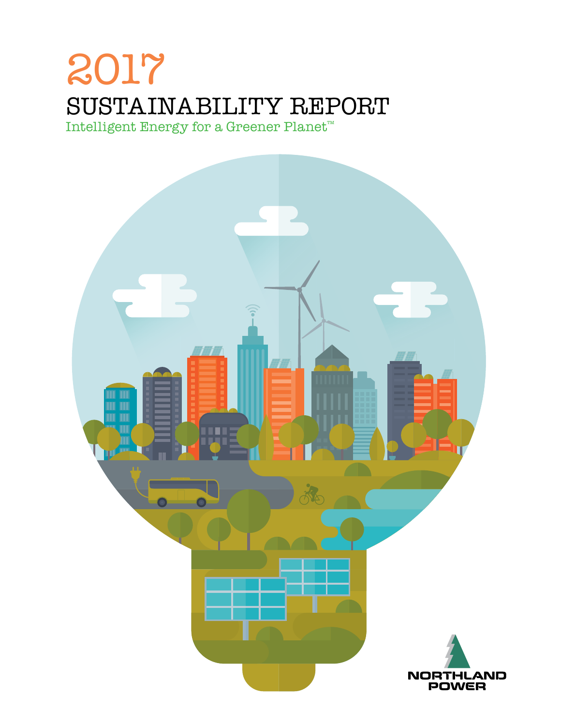# SUSTAINABILITY REPORT Intelligent Energy for a Greener Planet™ 2017

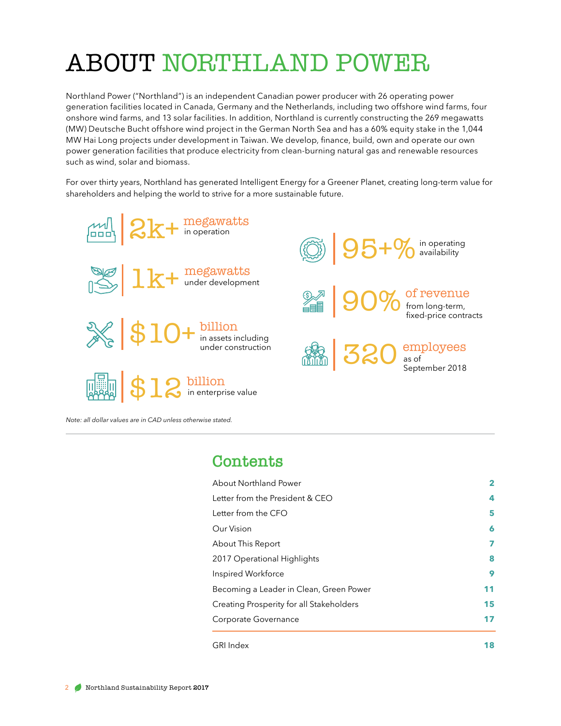# ABOUT NORTHLAND POWER

Northland Power ("Northland") is an independent Canadian power producer with 26 operating power generation facilities located in Canada, Germany and the Netherlands, including two offshore wind farms, four onshore wind farms, and 13 solar facilities. In addition, Northland is currently constructing the 269 megawatts (MW) Deutsche Bucht offshore wind project in the German North Sea and has a 60% equity stake in the 1,044 MW Hai Long projects under development in Taiwan. We develop, finance, build, own and operate our own power generation facilities that produce electricity from clean-burning natural gas and renewable resources such as wind, solar and biomass.

For over thirty years, Northland has generated Intelligent Energy for a Greener Planet, creating long-term value for shareholders and helping the world to strive for a more sustainable future.



*Note: all dollar values are in CAD unless otherwise stated.*

#### **Contents**

| About Northland Power                    | $\mathbf{2}$ |
|------------------------------------------|--------------|
| Letter from the President & CEO          | 4            |
| Letter from the CFO                      | 5            |
| Our Vision                               | 6            |
| About This Report                        | 7            |
| 2017 Operational Highlights              | 8            |
| Inspired Workforce                       | 9            |
| Becoming a Leader in Clean, Green Power  | 11           |
| Creating Prosperity for all Stakeholders | 15           |
| Corporate Governance                     | 17           |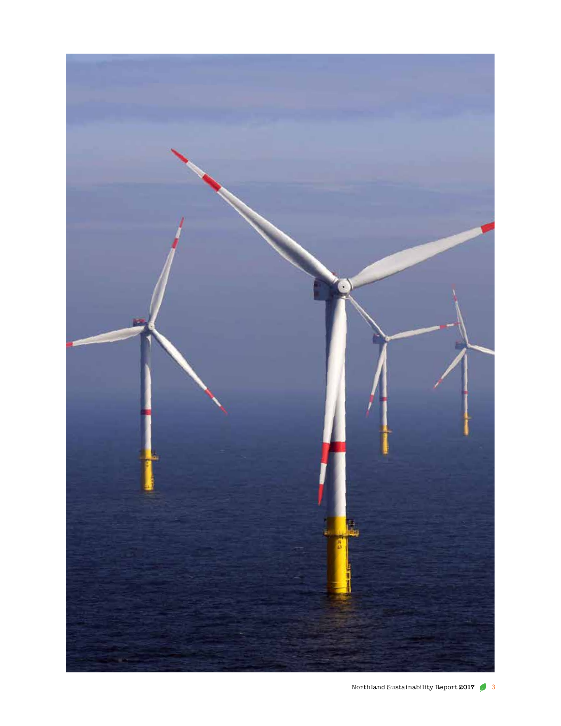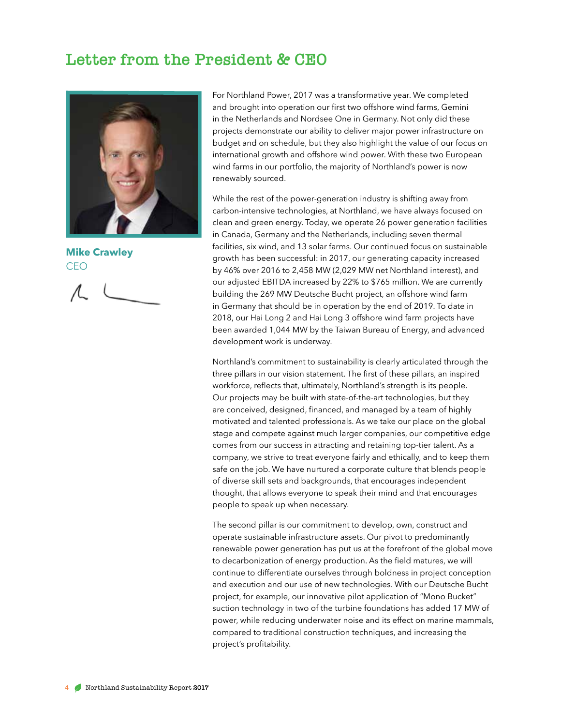#### **Letter from the President & CEO**



**Mike Crawley** CEO



For Northland Power, 2017 was a transformative year. We completed and brought into operation our first two offshore wind farms, Gemini in the Netherlands and Nordsee One in Germany. Not only did these projects demonstrate our ability to deliver major power infrastructure on budget and on schedule, but they also highlight the value of our focus on international growth and offshore wind power. With these two European wind farms in our portfolio, the majority of Northland's power is now renewably sourced.

While the rest of the power-generation industry is shifting away from carbon-intensive technologies, at Northland, we have always focused on clean and green energy. Today, we operate 26 power generation facilities in Canada, Germany and the Netherlands, including seven thermal facilities, six wind, and 13 solar farms. Our continued focus on sustainable growth has been successful: in 2017, our generating capacity increased by 46% over 2016 to 2,458 MW (2,029 MW net Northland interest), and our adjusted EBITDA increased by 22% to \$765 million. We are currently building the 269 MW Deutsche Bucht project, an offshore wind farm in Germany that should be in operation by the end of 2019. To date in 2018, our Hai Long 2 and Hai Long 3 offshore wind farm projects have been awarded 1,044 MW by the Taiwan Bureau of Energy, and advanced development work is underway.

Northland's commitment to sustainability is clearly articulated through the three pillars in our vision statement. The first of these pillars, an inspired workforce, reflects that, ultimately, Northland's strength is its people. Our projects may be built with state-of-the-art technologies, but they are conceived, designed, financed, and managed by a team of highly motivated and talented professionals. As we take our place on the global stage and compete against much larger companies, our competitive edge comes from our success in attracting and retaining top-tier talent. As a company, we strive to treat everyone fairly and ethically, and to keep them safe on the job. We have nurtured a corporate culture that blends people of diverse skill sets and backgrounds, that encourages independent thought, that allows everyone to speak their mind and that encourages people to speak up when necessary.

The second pillar is our commitment to develop, own, construct and operate sustainable infrastructure assets. Our pivot to predominantly renewable power generation has put us at the forefront of the global move to decarbonization of energy production. As the field matures, we will continue to differentiate ourselves through boldness in project conception and execution and our use of new technologies. With our Deutsche Bucht project, for example, our innovative pilot application of "Mono Bucket" suction technology in two of the turbine foundations has added 17 MW of power, while reducing underwater noise and its effect on marine mammals, compared to traditional construction techniques, and increasing the project's profitability.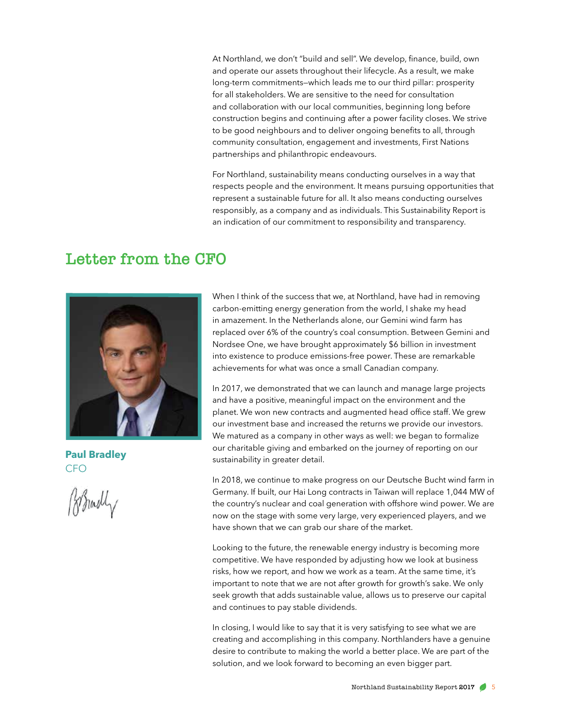At Northland, we don't "build and sell". We develop, finance, build, own and operate our assets throughout their lifecycle. As a result, we make long-term commitments—which leads me to our third pillar: prosperity for all stakeholders. We are sensitive to the need for consultation and collaboration with our local communities, beginning long before construction begins and continuing after a power facility closes. We strive to be good neighbours and to deliver ongoing benefits to all, through community consultation, engagement and investments, First Nations partnerships and philanthropic endeavours.

For Northland, sustainability means conducting ourselves in a way that respects people and the environment. It means pursuing opportunities that represent a sustainable future for all. It also means conducting ourselves responsibly, as a company and as individuals. This Sustainability Report is an indication of our commitment to responsibility and transparency.

#### **Letter from the CFO**



**Paul Bradley** CFO

Bradly

When I think of the success that we, at Northland, have had in removing carbon-emitting energy generation from the world, I shake my head in amazement. In the Netherlands alone, our Gemini wind farm has replaced over 6% of the country's coal consumption. Between Gemini and Nordsee One, we have brought approximately \$6 billion in investment into existence to produce emissions-free power. These are remarkable achievements for what was once a small Canadian company.

In 2017, we demonstrated that we can launch and manage large projects and have a positive, meaningful impact on the environment and the planet. We won new contracts and augmented head office staff. We grew our investment base and increased the returns we provide our investors. We matured as a company in other ways as well: we began to formalize our charitable giving and embarked on the journey of reporting on our sustainability in greater detail.

In 2018, we continue to make progress on our Deutsche Bucht wind farm in Germany. If built, our Hai Long contracts in Taiwan will replace 1,044 MW of the country's nuclear and coal generation with offshore wind power. We are now on the stage with some very large, very experienced players, and we have shown that we can grab our share of the market.

Looking to the future, the renewable energy industry is becoming more competitive. We have responded by adjusting how we look at business risks, how we report, and how we work as a team. At the same time, it's important to note that we are not after growth for growth's sake. We only seek growth that adds sustainable value, allows us to preserve our capital and continues to pay stable dividends.

In closing, I would like to say that it is very satisfying to see what we are creating and accomplishing in this company. Northlanders have a genuine desire to contribute to making the world a better place. We are part of the solution, and we look forward to becoming an even bigger part.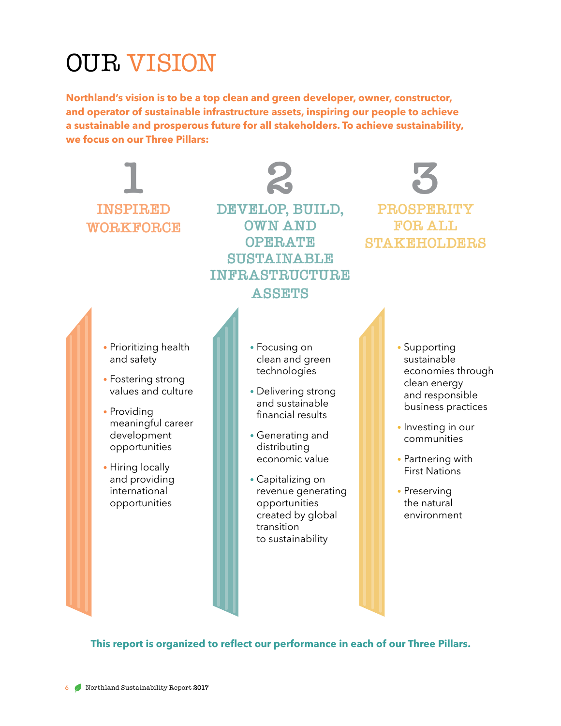# OUR VISION

**Northland's vision is to be a top clean and green developer, owner, constructor, and operator of sustainable infrastructure assets, inspiring our people to achieve a sustainable and prosperous future for all stakeholders. To achieve sustainability, we focus on our Three Pillars:**



**This report is organized to reflect our performance in each of our Three Pillars.**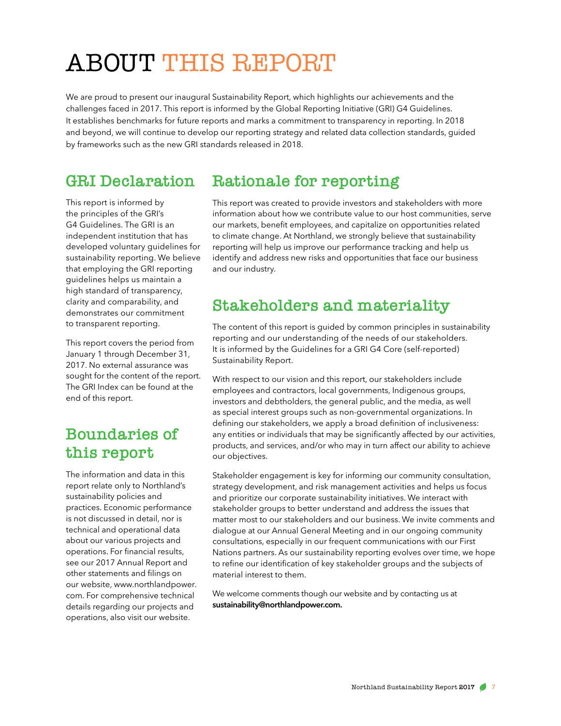# ABOUT THIS REPORT

We are proud to present our inaugural Sustainability Report, which highlights our achievements and the challenges faced in 2017. This report is informed by the Global Reporting Initiative (GRI) G4 Guidelines. It establishes benchmarks for future reports and marks a commitment to transparency in reporting. In 2018 and beyond, we will continue to develop our reporting strategy and related data collection standards, guided by frameworks such as the new GRI standards released in 2018.

### **GRI Declaration**

This report is informed by the principles of the GRI's G4 Guidelines. The GRI is an independent institution that has developed voluntary guidelines for sustainability reporting. We believe that employing the GRI reporting guidelines helps us maintain a high standard of transparency, clarity and comparability, and demonstrates our commitment to transparent reporting.

This report covers the period from January 1 through December 31, 2017. No external assurance was sought for the content of the report. The GRI Index can be found at the end of this report.

### **Boundaries of this report**

The information and data in this report relate only to Northland's sustainability policies and practices. Economic performance is not discussed in detail, nor is technical and operational data about our various projects and operations. For financial results, see our 2017 Annual Report and other statements and filings on our website, www.northlandpower. com. For comprehensive technical details regarding our projects and operations, also visit our website.

# **Rationale for reporting**

This report was created to provide investors and stakeholders with more information about how we contribute value to our host communities, serve our markets, benefit employees, and capitalize on opportunities related to climate change. At Northland, we strongly believe that sustainability reporting will help us improve our performance tracking and help us identify and address new risks and opportunities that face our business and our industry.

# **Stakeholders and materiality**

The content of this report is guided by common principles in sustainability reporting and our understanding of the needs of our stakeholders. It is informed by the Guidelines for a GRI G4 Core (self-reported) Sustainability Report.

With respect to our vision and this report, our stakeholders include employees and contractors, local governments, Indigenous groups, investors and debtholders, the general public, and the media, as well as special interest groups such as non-governmental organizations. In defining our stakeholders, we apply a broad definition of inclusiveness: any entities or individuals that may be significantly affected by our activities, products, and services, and/or who may in turn affect our ability to achieve our objectives.

Stakeholder engagement is key for informing our community consultation, strategy development, and risk management activities and helps us focus and prioritize our corporate sustainability initiatives. We interact with stakeholder groups to better understand and address the issues that matter most to our stakeholders and our business. We invite comments and dialogue at our Annual General Meeting and in our ongoing community consultations, especially in our frequent communications with our First Nations partners. As our sustainability reporting evolves over time, we hope to refine our identification of key stakeholder groups and the subjects of material interest to them.

We welcome comments though our website and by contacting us at **sustainability@northlandpower.com.**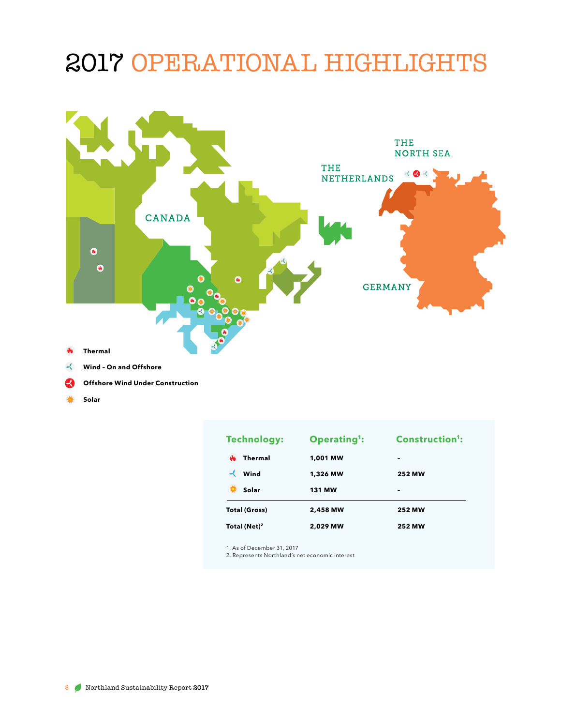# 2017 OPERATIONAL HIGHLIGHTS



**Solar**

| <b>Technology:</b>       | <b>Operating<sup>1</sup></b> : | Construction <sup>1</sup> : |
|--------------------------|--------------------------------|-----------------------------|
| <b>Thermal</b><br>       | 1,001 MW                       | $\overline{\phantom{0}}$    |
| Wind                     | 1.326 MW                       | <b>252 MW</b>               |
| Solar                    | <b>131 MW</b>                  | -                           |
| <b>Total (Gross)</b>     | 2,458 MW                       | <b>252 MW</b>               |
| Total (Net) <sup>2</sup> | 2,029 MW                       | <b>252 MW</b>               |
|                          |                                |                             |

1. As of December 31, 2017

2. Represents Northland's net economic interest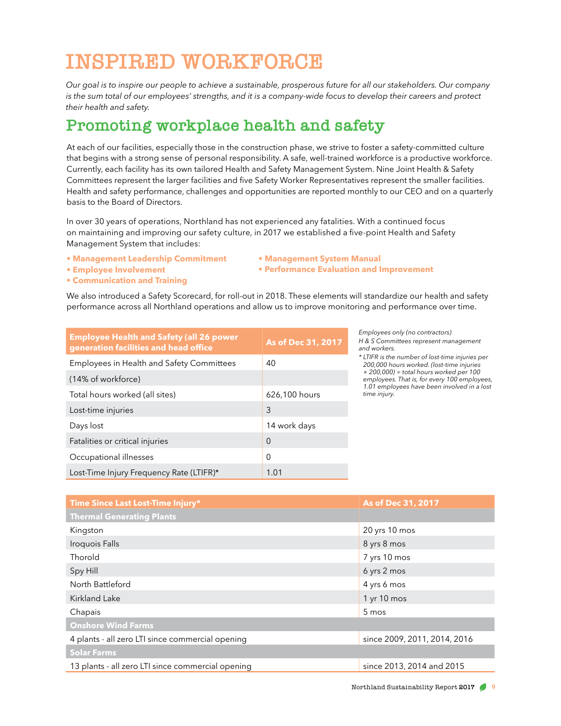# **INSPIRED WORKFORCE**

*Our goal is to inspire our people to achieve a sustainable, prosperous future for all our stakeholders. Our company is the sum total of our employees' strengths, and it is a company-wide focus to develop their careers and protect their health and safety.* 

### **Promoting workplace health and safety**

At each of our facilities, especially those in the construction phase, we strive to foster a safety-committed culture that begins with a strong sense of personal responsibility. A safe, well-trained workforce is a productive workforce. Currently, each facility has its own tailored Health and Safety Management System. Nine Joint Health & Safety Committees represent the larger facilities and five Safety Worker Representatives represent the smaller facilities. Health and safety performance, challenges and opportunities are reported monthly to our CEO and on a quarterly basis to the Board of Directors.

In over 30 years of operations, Northland has not experienced any fatalities. With a continued focus on maintaining and improving our safety culture, in 2017 we established a five-point Health and Safety Management System that includes:

- **• Management Leadership Commitment**
- **• Management System Manual**
- **• Employee Involvement**
- **• Performance Evaluation and Improvement**
- **• Communication and Training**

We also introduced a Safety Scorecard, for roll-out in 2018. These elements will standardize our health and safety performance across all Northland operations and allow us to improve monitoring and performance over time.

| <b>Employee Health and Safety (all 26 power</b><br>generation facilities and head office | As of Dec 31, 2017 |
|------------------------------------------------------------------------------------------|--------------------|
| <b>Employees in Health and Safety Committees</b>                                         | 40                 |
| (14% of workforce)                                                                       |                    |
| Total hours worked (all sites)                                                           | 626,100 hours      |
| Lost-time injuries                                                                       | 3                  |
| Days lost                                                                                | 14 work days       |
| Fatalities or critical injuries                                                          | $\Omega$           |
| Occupational illnesses                                                                   | $\Omega$           |
| Lost-Time Injury Frequency Rate (LTIFR)*                                                 | 1.01               |

*Employees only (no contractors) H & S Committees represent management and workers.* 

*\* LTIFR is the number of lost-time injuries per 200,000 hours worked. (lost-time injuries × 200,000) ÷ total hours worked per 100 employees. That is, for every 100 employees, 1.01 employees have been involved in a lost time injury.*

| Time Since Last Lost-Time Injury*                 | As of Dec 31, 2017           |
|---------------------------------------------------|------------------------------|
| <b>Thermal Generating Plants</b>                  |                              |
| Kingston                                          | 20 yrs 10 mos                |
| Iroquois Falls                                    | 8 yrs 8 mos                  |
| Thorold                                           | 7 yrs 10 mos                 |
| Spy Hill                                          | 6 yrs 2 mos                  |
| North Battleford                                  | 4 yrs 6 mos                  |
| Kirkland Lake                                     | $1$ yr $10$ mos              |
| Chapais                                           | 5 mos                        |
| <b>Onshore Wind Farms</b>                         |                              |
| 4 plants - all zero LTI since commercial opening  | since 2009, 2011, 2014, 2016 |
| <b>Solar Farms</b>                                |                              |
| 13 plants - all zero LTI since commercial opening | since 2013, 2014 and 2015    |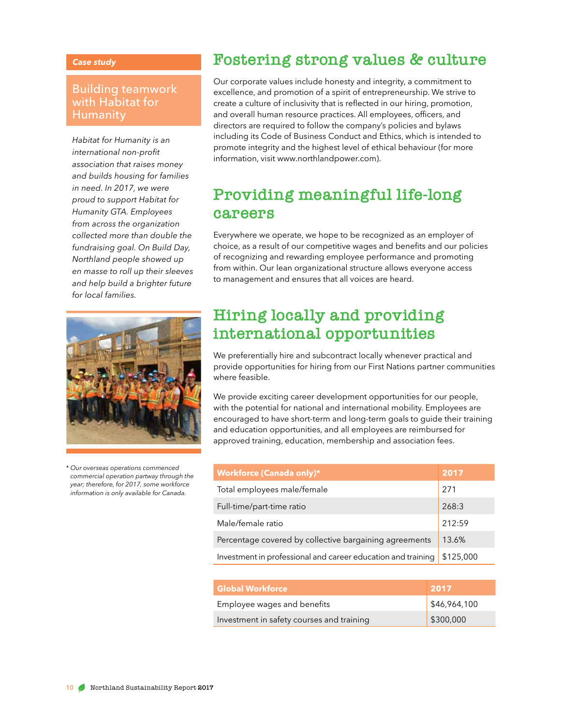#### *Case study*

#### Building teamwork with Habitat for Humanity

*Habitat for Humanity is an international non-profit association that raises money and builds housing for families in need. In 2017, we were proud to support Habitat for Humanity GTA. Employees from across the organization collected more than double the fundraising goal. On Build Day, Northland people showed up en masse to roll up their sleeves and help build a brighter future for local families.*



*\* Our overseas operations commenced commercial operation partway through the year; therefore, for 2017, some workforce information is only available for Canada.*

#### **Fostering strong values & culture**

Our corporate values include honesty and integrity, a commitment to excellence, and promotion of a spirit of entrepreneurship. We strive to create a culture of inclusivity that is reflected in our hiring, promotion, and overall human resource practices. All employees, officers, and directors are required to follow the company's policies and bylaws including its Code of Business Conduct and Ethics, which is intended to promote integrity and the highest level of ethical behaviour (for more information, visit www.northlandpower.com).

### **Providing meaningful life-long careers**

Everywhere we operate, we hope to be recognized as an employer of choice, as a result of our competitive wages and benefits and our policies of recognizing and rewarding employee performance and promoting from within. Our lean organizational structure allows everyone access to management and ensures that all voices are heard.

### **Hiring locally and providing international opportunities**

We preferentially hire and subcontract locally whenever practical and provide opportunities for hiring from our First Nations partner communities where feasible.

We provide exciting career development opportunities for our people, with the potential for national and international mobility. Employees are encouraged to have short-term and long-term goals to guide their training and education opportunities, and all employees are reimbursed for approved training, education, membership and association fees.

| <b>Workforce (Canada only)*</b>                              | 2017      |
|--------------------------------------------------------------|-----------|
| Total employees male/female                                  | 271       |
| Full-time/part-time ratio                                    | 268:3     |
| Male/female ratio                                            | 212:59    |
| Percentage covered by collective bargaining agreements       | 13.6%     |
| Investment in professional and career education and training | \$125,000 |

| <b>Global Workforce</b>                   | 2017         |
|-------------------------------------------|--------------|
| Employee wages and benefits               | \$46,964,100 |
| Investment in safety courses and training | \$300,000    |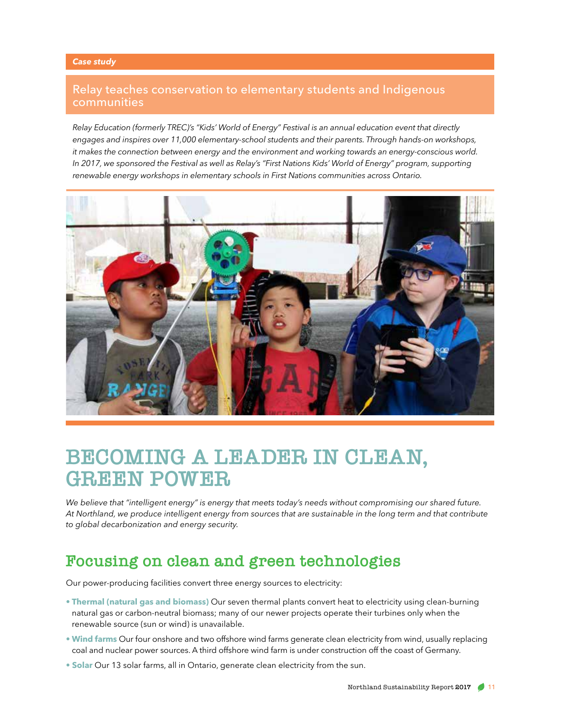#### *Case study*

#### Relay teaches conservation to elementary students and Indigenous communities

*Relay Education (formerly TREC)'s "Kids' World of Energy" Festival is an annual education event that directly engages and inspires over 11,000 elementary-school students and their parents. Through hands-on workshops, it makes the connection between energy and the environment and working towards an energy-conscious world.*  In 2017, we sponsored the Festival as well as Relay's "First Nations Kids' World of Energy" program, supporting *renewable energy workshops in elementary schools in First Nations communities across Ontario.*



# **BECOMING A LEADER IN CLEAN, GREEN POWER**

We believe that "intelligent energy" is energy that meets today's needs without compromising our shared future. *At Northland, we produce intelligent energy from sources that are sustainable in the long term and that contribute to global decarbonization and energy security.* 

### **Focusing on clean and green technologies**

Our power-producing facilities convert three energy sources to electricity:

- **• Thermal (natural gas and biomass)** Our seven thermal plants convert heat to electricity using clean-burning natural gas or carbon-neutral biomass; many of our newer projects operate their turbines only when the renewable source (sun or wind) is unavailable.
- **• Wind farms** Our four onshore and two offshore wind farms generate clean electricity from wind, usually replacing coal and nuclear power sources. A third offshore wind farm is under construction off the coast of Germany.
- **Solar** Our 13 solar farms, all in Ontario, generate clean electricity from the sun.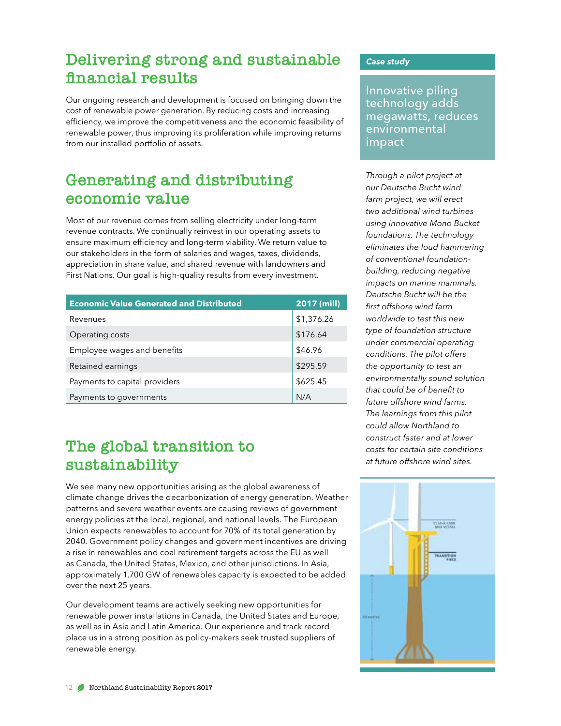## **Delivering strong and sustainable financial results**

Our ongoing research and development is focused on bringing down the cost of renewable power generation. By reducing costs and increasing efficiency, we improve the competitiveness and the economic feasibility of renewable power, thus improving its proliferation while improving returns from our installed portfolio of assets.

## **Generating and distributing economic value**

Most of our revenue comes from selling electricity under long-term revenue contracts. We continually reinvest in our operating assets to ensure maximum efficiency and long-term viability. We return value to our stakeholders in the form of salaries and wages, taxes, dividends, appreciation in share value, and shared revenue with landowners and First Nations. Our goal is high-quality results from every investment.

| <b>Economic Value Generated and Distributed</b> | 2017 (mill) |
|-------------------------------------------------|-------------|
| Revenues                                        | \$1,376.26  |
| Operating costs                                 | \$176.64    |
| Employee wages and benefits                     | \$46.96     |
| Retained earnings                               | \$295.59    |
| Payments to capital providers                   | \$625.45    |
| Payments to governments                         | N/A         |

# **The global transition to sustainability**

We see many new opportunities arising as the global awareness of climate change drives the decarbonization of energy generation. Weather patterns and severe weather events are causing reviews of government energy policies at the local, regional, and national levels. The European Union expects renewables to account for 70% of its total generation by 2040. Government policy changes and government incentives are driving a rise in renewables and coal retirement targets across the EU as well as Canada, the United States, Mexico, and other jurisdictions. In Asia, approximately 1,700 GW of renewables capacity is expected to be added over the next 25 years.

Our development teams are actively seeking new opportunities for renewable power installations in Canada, the United States and Europe, as well as in Asia and Latin America. Our experience and track record place us in a strong position as policy-makers seek trusted suppliers of renewable energy.

#### *Case study*

Innovative piling technology adds megawatts, reduces environmental impact

*Through a pilot project at our Deutsche Bucht wind farm project, we will erect two additional wind turbines using innovative Mono Bucket foundations. The technology eliminates the loud hammering of conventional foundationbuilding, reducing negative impacts on marine mammals. Deutsche Bucht will be the first offshore wind farm worldwide to test this new type of foundation structure under commercial operating conditions. The pilot offers the opportunity to test an environmentally sound solution that could be of benefit to future offshore wind farms. The learnings from this pilot could allow Northland to construct faster and at lower costs for certain site conditions at future offshore wind sites.* 

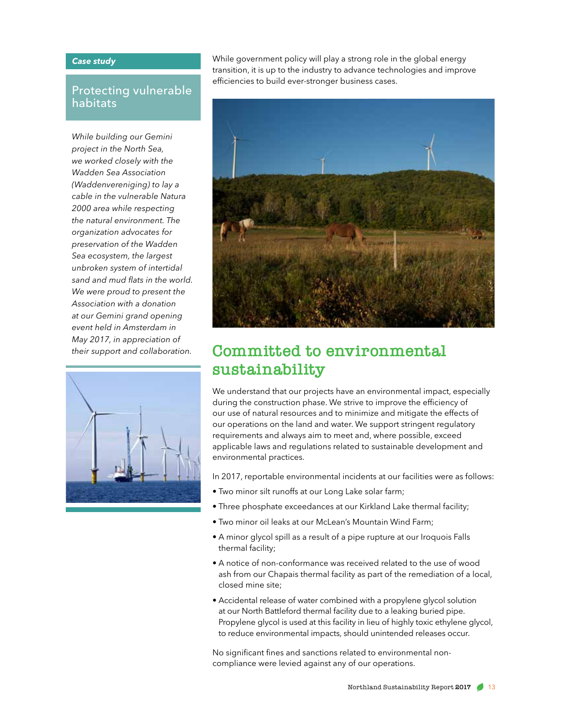#### *Case study*

#### Protecting vulnerable habitats

*While building our Gemini project in the North Sea, we worked closely with the Wadden Sea Association (Waddenvereniging) to lay a cable in the vulnerable Natura 2000 area while respecting the natural environment. The organization advocates for preservation of the Wadden Sea ecosystem, the largest unbroken system of intertidal sand and mud flats in the world. We were proud to present the Association with a donation at our Gemini grand opening event held in Amsterdam in May 2017, in appreciation of their support and collaboration.*



While government policy will play a strong role in the global energy transition, it is up to the industry to advance technologies and improve efficiencies to build ever-stronger business cases.



### **Committed to environmental sustainability**

We understand that our projects have an environmental impact, especially during the construction phase. We strive to improve the efficiency of our use of natural resources and to minimize and mitigate the effects of our operations on the land and water. We support stringent regulatory requirements and always aim to meet and, where possible, exceed applicable laws and regulations related to sustainable development and environmental practices.

In 2017, reportable environmental incidents at our facilities were as follows:

- Two minor silt runoffs at our Long Lake solar farm;
- Three phosphate exceedances at our Kirkland Lake thermal facility;
- Two minor oil leaks at our McLean's Mountain Wind Farm;
- A minor glycol spill as a result of a pipe rupture at our Iroquois Falls thermal facility;
- A notice of non-conformance was received related to the use of wood ash from our Chapais thermal facility as part of the remediation of a local, closed mine site;
- Accidental release of water combined with a propylene glycol solution at our North Battleford thermal facility due to a leaking buried pipe. Propylene glycol is used at this facility in lieu of highly toxic ethylene glycol, to reduce environmental impacts, should unintended releases occur.

No significant fines and sanctions related to environmental noncompliance were levied against any of our operations.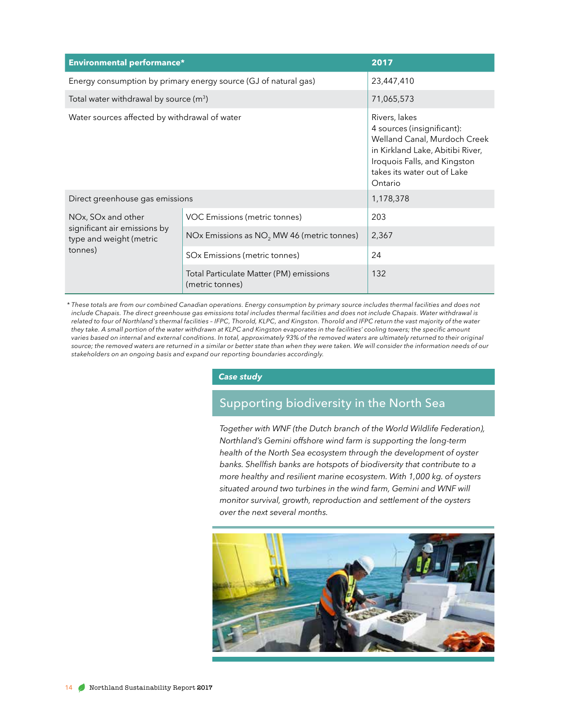| <b>Environmental performance*</b>                                  | 2017                                                       |                                                                                                                                                                                           |
|--------------------------------------------------------------------|------------------------------------------------------------|-------------------------------------------------------------------------------------------------------------------------------------------------------------------------------------------|
| Energy consumption by primary energy source (GJ of natural gas)    | 23,447,410                                                 |                                                                                                                                                                                           |
| Total water withdrawal by source $(m^3)$                           |                                                            | 71,065,573                                                                                                                                                                                |
| Water sources affected by withdrawal of water                      |                                                            | Rivers, lakes<br>4 sources (insignificant):<br>Welland Canal, Murdoch Creek<br>in Kirkland Lake, Abitibi River,<br>Iroquois Falls, and Kingston<br>takes its water out of Lake<br>Ontario |
| Direct greenhouse gas emissions                                    |                                                            | 1,178,378                                                                                                                                                                                 |
| NOx, SOx and other                                                 | VOC Emissions (metric tonnes)                              | 203                                                                                                                                                                                       |
| significant air emissions by<br>type and weight (metric<br>tonnes) | NOx Emissions as NO <sub>2</sub> MW 46 (metric tonnes)     | 2,367                                                                                                                                                                                     |
|                                                                    | SO <sub>x</sub> Emissions (metric tonnes)                  | 24                                                                                                                                                                                        |
|                                                                    | Total Particulate Matter (PM) emissions<br>(metric tonnes) | 132                                                                                                                                                                                       |

*\* These totals are from our combined Canadian operations. Energy consumption by primary source includes thermal facilities and does not include Chapais. The direct greenhouse gas emissions total includes thermal facilities and does not include Chapais. Water withdrawal is related to four of Northland's thermal facilities – IFPC, Thorold, KLPC, and Kingston. Thorold and IFPC return the vast majority of the water they take. A small portion of the water withdrawn at KLPC and Kingston evaporates in the facilities' cooling towers; the specific amount varies based on internal and external conditions. In total, approximately 93% of the removed waters are ultimately returned to their original source; the removed waters are returned in a similar or better state than when they were taken. We will consider the information needs of our stakeholders on an ongoing basis and expand our reporting boundaries accordingly.*

#### *Case study*

#### Supporting biodiversity in the North Sea

*Together with WNF (the Dutch branch of the World Wildlife Federation), Northland's Gemini offshore wind farm is supporting the long-term health of the North Sea ecosystem through the development of oyster banks. Shellfish banks are hotspots of biodiversity that contribute to a more healthy and resilient marine ecosystem. With 1,000 kg. of oysters situated around two turbines in the wind farm, Gemini and WNF will monitor survival, growth, reproduction and settlement of the oysters over the next several months.*

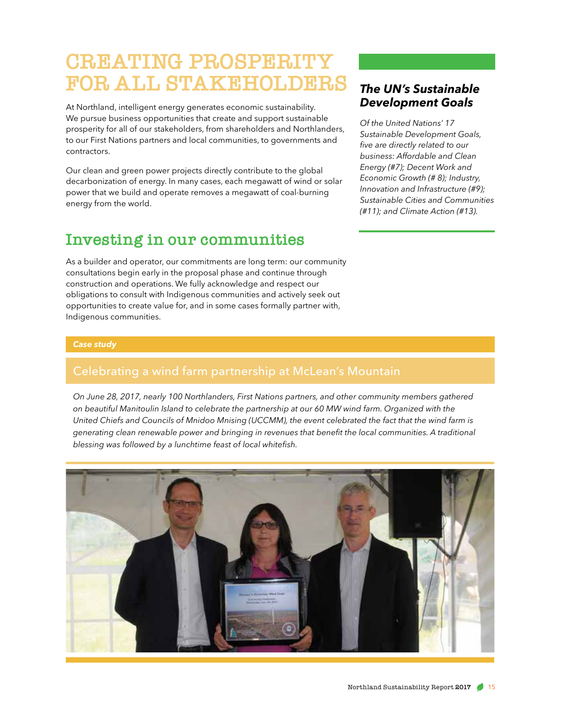# **CREATING PROSPERITY FOR ALL STAKEHOLDERS**

At Northland, intelligent energy generates economic sustainability. We pursue business opportunities that create and support sustainable prosperity for all of our stakeholders, from shareholders and Northlanders, to our First Nations partners and local communities, to governments and contractors.

Our clean and green power projects directly contribute to the global decarbonization of energy. In many cases, each megawatt of wind or solar power that we build and operate removes a megawatt of coal-burning energy from the world.

#### **Investing in our communities**

As a builder and operator, our commitments are long term: our community consultations begin early in the proposal phase and continue through construction and operations. We fully acknowledge and respect our obligations to consult with Indigenous communities and actively seek out opportunities to create value for, and in some cases formally partner with, Indigenous communities.

#### *The UN's Sustainable Development Goals*

*Of the United Nations' 17 Sustainable Development Goals, five are directly related to our business: Affordable and Clean Energy (#7); Decent Work and Economic Growth (# 8); Industry, Innovation and Infrastructure (#9); Sustainable Cities and Communities (#11); and Climate Action (#13).*

#### *Case study*

*On June 28, 2017, nearly 100 Northlanders, First Nations partners, and other community members gathered on beautiful Manitoulin Island to celebrate the partnership at our 60 MW wind farm. Organized with the United Chiefs and Councils of Mnidoo Mnising (UCCMM), the event celebrated the fact that the wind farm is generating clean renewable power and bringing in revenues that benefit the local communities. A traditional blessing was followed by a lunchtime feast of local whitefish.* 

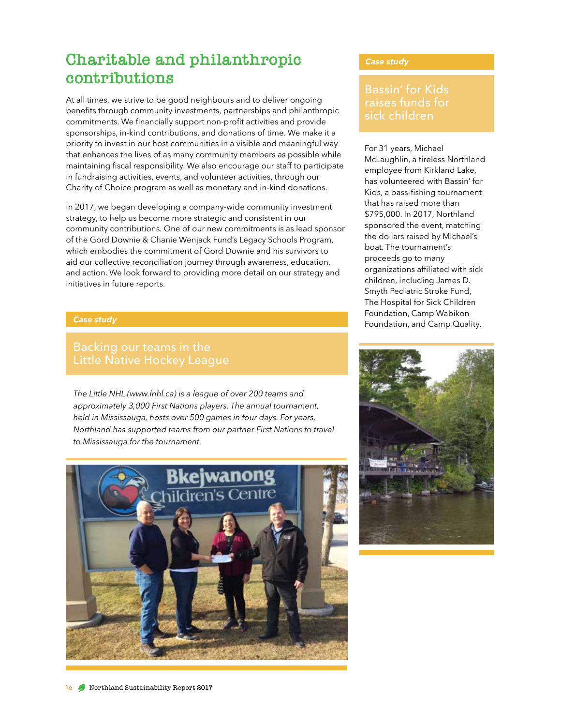## **Charitable and philanthropic contributions**

At all times, we strive to be good neighbours and to deliver ongoing benefits through community investments, partnerships and philanthropic commitments. We financially support non-profit activities and provide sponsorships, in-kind contributions, and donations of time. We make it a priority to invest in our host communities in a visible and meaningful way that enhances the lives of as many community members as possible while maintaining fiscal responsibility. We also encourage our staff to participate in fundraising activities, events, and volunteer activities, through our Charity of Choice program as well as monetary and in-kind donations.

In 2017, we began developing a company-wide community investment strategy, to help us become more strategic and consistent in our community contributions. One of our new commitments is as lead sponsor of the Gord Downie & Chanie Wenjack Fund's Legacy Schools Program, which embodies the commitment of Gord Downie and his survivors to aid our collective reconciliation journey through awareness, education, and action. We look forward to providing more detail on our strategy and initiatives in future reports.

#### *Case study*

# Little Native Hockey League

*The Little NHL (www.lnhl.ca) is a league of over 200 teams and approximately 3,000 First Nations players. The annual tournament, held in Mississauga, hosts over 500 games in four days. For years, Northland has supported teams from our partner First Nations to travel to Mississauga for the tournament.*



#### *Case study*

raises funds for sick children

For 31 years, Michael McLaughlin, a tireless Northland employee from Kirkland Lake, has volunteered with Bassin' for Kids, a bass-fishing tournament that has raised more than \$795,000. In 2017, Northland sponsored the event, matching the dollars raised by Michael's boat. The tournament's proceeds go to many organizations affiliated with sick children, including James D. Smyth Pediatric Stroke Fund, The Hospital for Sick Children Foundation, Camp Wabikon Foundation, and Camp Quality.

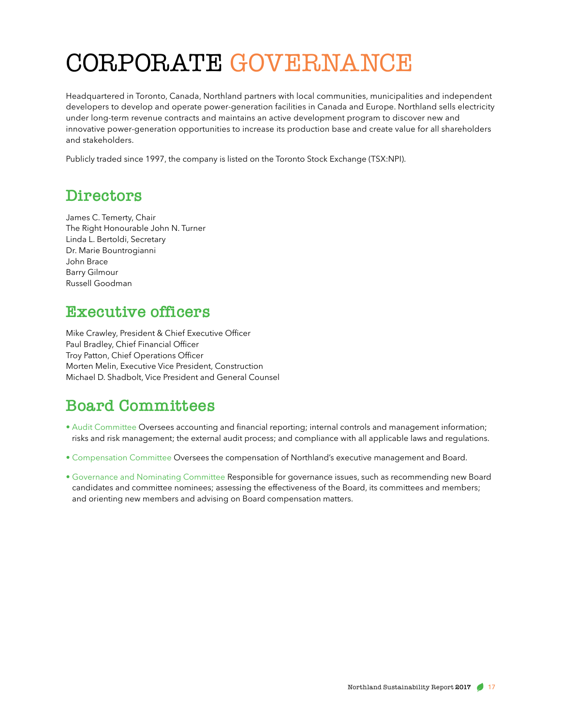# CORPORATE GOVERNANCE

Headquartered in Toronto, Canada, Northland partners with local communities, municipalities and independent developers to develop and operate power-generation facilities in Canada and Europe. Northland sells electricity under long-term revenue contracts and maintains an active development program to discover new and innovative power-generation opportunities to increase its production base and create value for all shareholders and stakeholders.

Publicly traded since 1997, the company is listed on the Toronto Stock Exchange (TSX:NPI).

#### **Directors**

James C. Temerty, Chair The Right Honourable John N. Turner Linda L. Bertoldi, Secretary Dr. Marie Bountrogianni John Brace Barry Gilmour Russell Goodman

### **Executive officers**

Mike Crawley, President & Chief Executive Officer Paul Bradley, Chief Financial Officer Troy Patton, Chief Operations Officer Morten Melin, Executive Vice President, Construction Michael D. Shadbolt, Vice President and General Counsel

# **Board Committees**

- Audit Committee Oversees accounting and financial reporting; internal controls and management information; risks and risk management; the external audit process; and compliance with all applicable laws and regulations.
- Compensation Committee Oversees the compensation of Northland's executive management and Board.
- Governance and Nominating Committee Responsible for governance issues, such as recommending new Board candidates and committee nominees; assessing the effectiveness of the Board, its committees and members; and orienting new members and advising on Board compensation matters.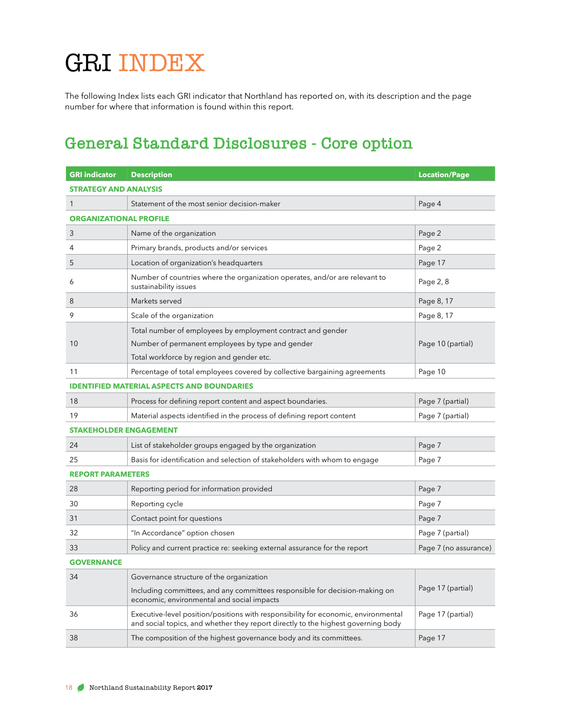# GRI INDEX

The following Index lists each GRI indicator that Northland has reported on, with its description and the page number for where that information is found within this report.

# **General Standard Disclosures - Core option**

| <b>GRI</b> indicator          | <b>Description</b>                                                                                                                                                      | <b>Location/Page</b>  |  |
|-------------------------------|-------------------------------------------------------------------------------------------------------------------------------------------------------------------------|-----------------------|--|
| <b>STRATEGY AND ANALYSIS</b>  |                                                                                                                                                                         |                       |  |
| 1                             | Statement of the most senior decision-maker                                                                                                                             | Page 4                |  |
| <b>ORGANIZATIONAL PROFILE</b> |                                                                                                                                                                         |                       |  |
| 3                             | Name of the organization                                                                                                                                                | Page 2                |  |
| 4                             | Primary brands, products and/or services                                                                                                                                | Page 2                |  |
| 5                             | Location of organization's headquarters                                                                                                                                 | Page 17               |  |
| 6                             | Number of countries where the organization operates, and/or are relevant to<br>sustainability issues                                                                    | Page 2, 8             |  |
| 8                             | Markets served                                                                                                                                                          | Page 8, 17            |  |
| 9                             | Scale of the organization                                                                                                                                               | Page 8, 17            |  |
|                               | Total number of employees by employment contract and gender                                                                                                             |                       |  |
| 10                            | Number of permanent employees by type and gender                                                                                                                        | Page 10 (partial)     |  |
|                               | Total workforce by region and gender etc.                                                                                                                               |                       |  |
| 11                            | Percentage of total employees covered by collective bargaining agreements                                                                                               | Page 10               |  |
|                               | <b>IDENTIFIED MATERIAL ASPECTS AND BOUNDARIES</b>                                                                                                                       |                       |  |
| 18                            | Process for defining report content and aspect boundaries.                                                                                                              | Page 7 (partial)      |  |
| 19                            | Material aspects identified in the process of defining report content                                                                                                   | Page 7 (partial)      |  |
| <b>STAKEHOLDER ENGAGEMENT</b> |                                                                                                                                                                         |                       |  |
| 24                            | List of stakeholder groups engaged by the organization                                                                                                                  | Page 7                |  |
| 25                            | Basis for identification and selection of stakeholders with whom to engage                                                                                              | Page 7                |  |
| <b>REPORT PARAMETERS</b>      |                                                                                                                                                                         |                       |  |
| 28                            | Reporting period for information provided                                                                                                                               | Page 7                |  |
| 30                            | Reporting cycle                                                                                                                                                         | Page 7                |  |
| 31                            | Contact point for questions                                                                                                                                             | Page 7                |  |
| 32                            | "In Accordance" option chosen                                                                                                                                           | Page 7 (partial)      |  |
| 33                            | Policy and current practice re: seeking external assurance for the report                                                                                               | Page 7 (no assurance) |  |
| <b>GOVERNANCE</b>             |                                                                                                                                                                         |                       |  |
| 34                            | Governance structure of the organization                                                                                                                                |                       |  |
|                               | Including committees, and any committees responsible for decision-making on<br>economic, environmental and social impacts                                               | Page 17 (partial)     |  |
| 36                            | Executive-level position/positions with responsibility for economic, environmental<br>and social topics, and whether they report directly to the highest governing body | Page 17 (partial)     |  |
| 38                            | The composition of the highest governance body and its committees.                                                                                                      | Page 17               |  |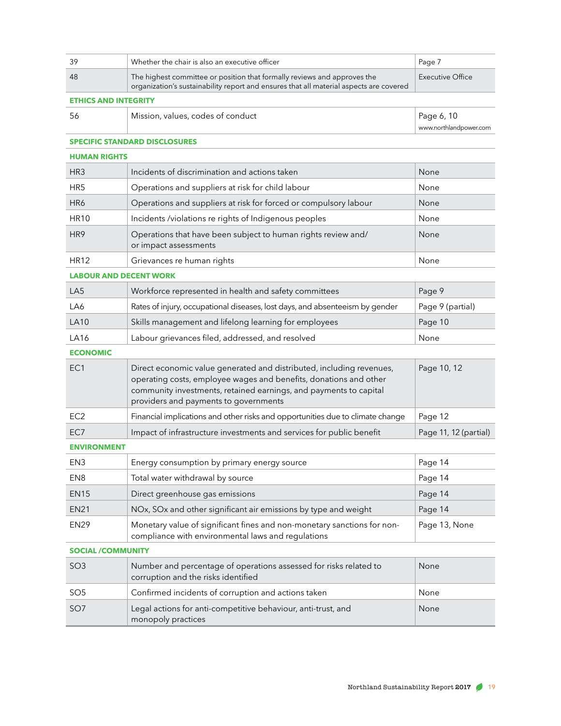| -39                         | Whether the chair is also an executive officer                                                                                                                     | Page 7           |
|-----------------------------|--------------------------------------------------------------------------------------------------------------------------------------------------------------------|------------------|
| -48                         | The highest committee or position that formally reviews and approves the<br>organization's sustainability report and ensures that all material aspects are covered | Executive Office |
| <b>ETHICS AND INTEGRITY</b> |                                                                                                                                                                    |                  |

|  |  | <b>ETHICS AND INTEGRIT</b> |  |
|--|--|----------------------------|--|
|  |  |                            |  |

| -56 | Mission, values, codes of conduct | Page 6, 10             |
|-----|-----------------------------------|------------------------|
|     |                                   | www.northlandpower.com |
|     |                                   |                        |

#### **SPECIFIC STANDARD DISCLOSURES**

#### **HUMAN RIGHTS**

| HR <sub>3</sub> | Incidents of discrimination and actions taken                                          | None        |
|-----------------|----------------------------------------------------------------------------------------|-------------|
| HR <sub>5</sub> | Operations and suppliers at risk for child labour                                      | None        |
| HR6             | Operations and suppliers at risk for forced or compulsory labour                       | None        |
| <b>HR10</b>     | Incidents /violations re rights of Indigenous peoples                                  | None        |
| HR <sub>9</sub> | Operations that have been subject to human rights review and/<br>or impact assessments | <b>None</b> |
| <b>HR12</b>     | Grievances re human rights                                                             | None        |

#### **LABOUR AND DECENT WORK**

| LA <sub>5</sub> | Workforce represented in health and safety committees                        | Page 9           |
|-----------------|------------------------------------------------------------------------------|------------------|
| LA6             | Rates of injury, occupational diseases, lost days, and absenteeism by gender | Page 9 (partial) |
| LA10            | Skills management and lifelong learning for employees                        | Page 10          |
| LA16            | Labour grievances filed, addressed, and resolved                             | None             |

#### **ECONOMIC**

| EC <sub>1</sub> | Direct economic value generated and distributed, including revenues,<br>operating costs, employee wages and benefits, donations and other<br>community investments, retained earnings, and payments to capital<br>providers and payments to governments | Page 10, 12           |
|-----------------|---------------------------------------------------------------------------------------------------------------------------------------------------------------------------------------------------------------------------------------------------------|-----------------------|
| EC <sub>2</sub> | Financial implications and other risks and opportunities due to climate change                                                                                                                                                                          | Page 12               |
| EC7             | Impact of infrastructure investments and services for public benefit                                                                                                                                                                                    | Page 11, 12 (partial) |

# **ENVIRONMENT**

| EN <sub>3</sub> | Energy consumption by primary energy source                                                                                   | Page 14       |
|-----------------|-------------------------------------------------------------------------------------------------------------------------------|---------------|
| EN <sub>8</sub> | Total water withdrawal by source                                                                                              | Page 14       |
| <b>EN15</b>     | Direct greenhouse gas emissions                                                                                               | Page 14       |
| <b>EN21</b>     | NOx, SOx and other significant air emissions by type and weight                                                               | Page 14       |
| <b>EN29</b>     | Monetary value of significant fines and non-monetary sanctions for non-<br>compliance with environmental laws and regulations | Page 13, None |

#### **SOCIAL /COMMUNITY**

| SO <sub>3</sub> | Number and percentage of operations assessed for risks related to<br>corruption and the risks identified | <b>None</b> |
|-----------------|----------------------------------------------------------------------------------------------------------|-------------|
| SO <sub>5</sub> | Confirmed incidents of corruption and actions taken                                                      | <b>None</b> |
| SO <sub>7</sub> | Legal actions for anti-competitive behaviour, anti-trust, and<br>monopoly practices                      | None        |